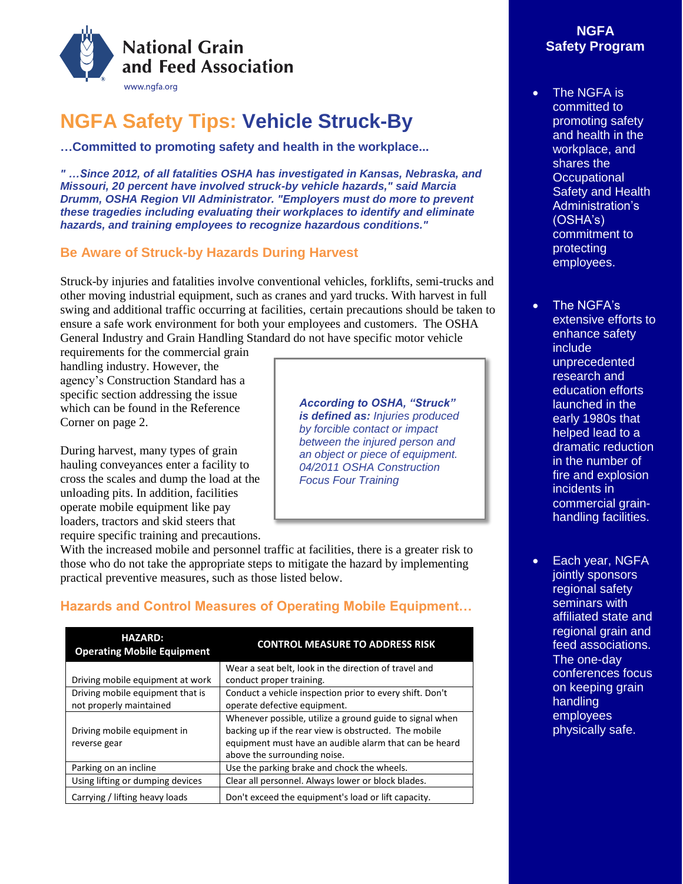

# **NGFA Safety Tips: Vehicle Struck-By**

**…Committed to promoting safety and health in the workplace...**

*" …Since 2012, of all fatalities OSHA has investigated in Kansas, Nebraska, and Missouri, 20 percent have involved struck-by vehicle hazards," said Marcia Drumm, OSHA Region VII Administrator. "Employers must do more to prevent these tragedies including evaluating their workplaces to identify and eliminate hazards, and training employees to recognize hazardous conditions."*

### **Be Aware of Struck-by Hazards During Harvest**

Struck-by injuries and fatalities involve conventional vehicles, forklifts, semi-trucks and other moving industrial equipment, such as cranes and yard trucks. With harvest in full swing and additional traffic occurring at facilities, certain precautions should be taken to ensure a safe work environment for both your employees and customers. The OSHA General Industry and Grain Handling Standard do not have specific motor vehicle

requirements for the commercial grain handling industry. However, the agency's Construction Standard has a specific section addressing the issue which can be found in the Reference Corner on page 2.

During harvest, many types of grain hauling conveyances enter a facility to cross the scales and dump the load at the unloading pits. In addition, facilities operate mobile equipment like pay loaders, tractors and skid steers that require specific training and precautions. *According to OSHA, "Struck" is defined as: Injuries produced by forcible contact or impact between the injured person and an object or piece of equipment. 04/2011 OSHA Construction Focus Four Training*

With the increased mobile and personnel traffic at facilities, there is a greater risk to those who do not take the appropriate steps to mitigate the hazard by implementing practical preventive measures, such as those listed below.

| <b>HAZARD:</b><br><b>Operating Mobile Equipment</b> | <b>CONTROL MEASURE TO ADDRESS RISK</b>                                                                                                                                                                      |
|-----------------------------------------------------|-------------------------------------------------------------------------------------------------------------------------------------------------------------------------------------------------------------|
|                                                     | Wear a seat belt, look in the direction of travel and                                                                                                                                                       |
| Driving mobile equipment at work                    | conduct proper training.                                                                                                                                                                                    |
| Driving mobile equipment that is                    | Conduct a vehicle inspection prior to every shift. Don't                                                                                                                                                    |
| not properly maintained                             | operate defective equipment.                                                                                                                                                                                |
| Driving mobile equipment in<br>reverse gear         | Whenever possible, utilize a ground guide to signal when<br>backing up if the rear view is obstructed. The mobile<br>equipment must have an audible alarm that can be heard<br>above the surrounding noise. |
| Parking on an incline                               | Use the parking brake and chock the wheels.                                                                                                                                                                 |
| Using lifting or dumping devices                    | Clear all personnel. Always lower or block blades.                                                                                                                                                          |
| Carrying / lifting heavy loads                      | Don't exceed the equipment's load or lift capacity.                                                                                                                                                         |

# **Hazards and Control Measures of Operating Mobile Equipment…**

# **NGFA Safety Program**

- The NGFA is committed to promoting safety and health in the workplace, and shares the **Occupational** Safety and Health Administration's (OSHA's) commitment to protecting employees.
	- The NGFA's extensive efforts to enhance safety include unprecedented research and education efforts launched in the early 1980s that helped lead to a dramatic reduction in the number of fire and explosion incidents in commercial grainhandling facilities.
- Each year, NGFA jointly sponsors regional safety seminars with affiliated state and regional grain and feed associations. The one-day conferences focus on keeping grain handling employees physically safe.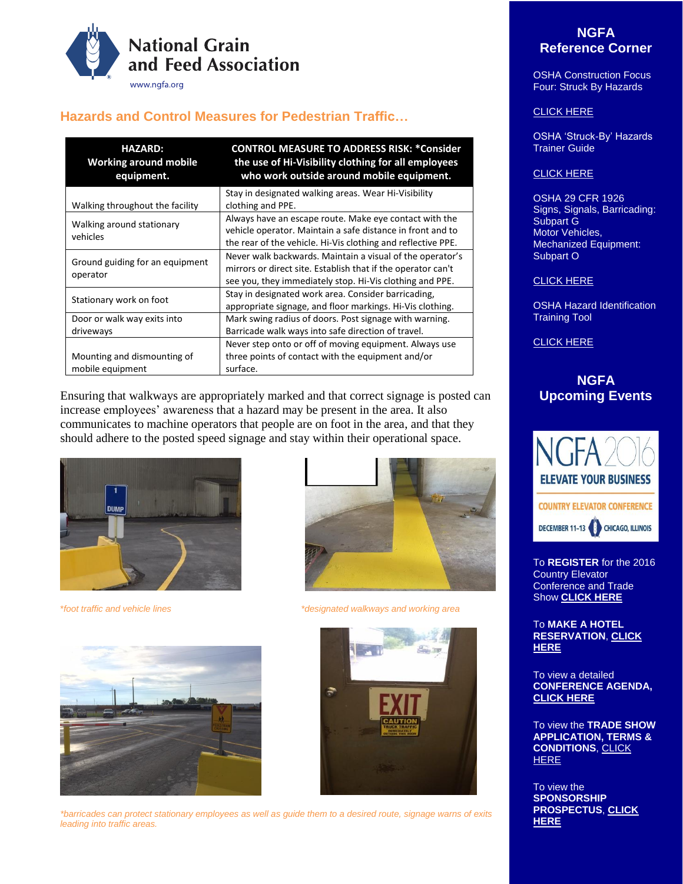

# **Hazards and Control Measures for Pedestrian Traffic…**

| <b>HAZARD:</b><br><b>Working around mobile</b><br>equipment. | <b>CONTROL MEASURE TO ADDRESS RISK: *Consider</b><br>the use of Hi-Visibility clothing for all employees<br>who work outside around mobile equipment.                                 |
|--------------------------------------------------------------|---------------------------------------------------------------------------------------------------------------------------------------------------------------------------------------|
| Walking throughout the facility                              | Stay in designated walking areas. Wear Hi-Visibility<br>clothing and PPE.                                                                                                             |
| Walking around stationary<br>vehicles                        | Always have an escape route. Make eye contact with the<br>vehicle operator. Maintain a safe distance in front and to<br>the rear of the vehicle. Hi-Vis clothing and reflective PPE.  |
| Ground guiding for an equipment<br>operator                  | Never walk backwards. Maintain a visual of the operator's<br>mirrors or direct site. Establish that if the operator can't<br>see you, they immediately stop. Hi-Vis clothing and PPE. |
| Stationary work on foot                                      | Stay in designated work area. Consider barricading,<br>appropriate signage, and floor markings. Hi-Vis clothing.                                                                      |
| Door or walk way exits into<br>driveways                     | Mark swing radius of doors. Post signage with warning.<br>Barricade walk ways into safe direction of travel.                                                                          |
| Mounting and dismounting of<br>mobile equipment              | Never step onto or off of moving equipment. Always use<br>three points of contact with the equipment and/or<br>surface.                                                               |

Ensuring that walkways are appropriately marked and that correct signage is posted can increase employees' awareness that a hazard may be present in the area. It also communicates to machine operators that people are on foot in the area, and that they should adhere to the posted speed signage and stay within their operational space.









\**foot traffic and vehicle lines \*designated walkways and working area*



## **NGFA Reference Corner**

OSHA Construction Focus Four: Struck By Hazards

#### [CLICK HERE](https://www.osha.gov/dte/outreach/construction/focus_four/struckby/struckby_ig.pdf)

OSHA 'Struck-By' Hazards Trainer Guide

#### [CLICK HERE](https://www.osha.gov/dte/grant_materials/fy07/sh-16586-07/2_struckby_hazards_trainer_guide.pdf)

OSHA 29 CFR 1926 Signs, Signals, Barricading: Subpart G Motor Vehicles, Mechanized Equipment: Subpart O

#### [CLICK HERE](https://www.osha.gov/pls/oshaweb/owasrch.search_form?p_doc_type=STANDARDS&p_toc_level=1&p_keyvalue=Construction)

OSHA Hazard Identification Training Tool

[CLICK HERE](https://www.osha.gov/hazfinder/index.html)

## **NGFA Upcoming Events**



To **REGISTER** for the 2016 Country Elevator Conference and Trade Show **[CLICK HERE](http://events.constantcontact.com/register/event?llr=fdr65vnab&oeidk=a07ed1863ol398793d6)**

To **MAKE A HOTEL RESERVATION**, **[CLICK](https://resweb.passkey.com/Resweb.do?mode=welcome_ei_new&eventID=14559978)  [HERE](https://resweb.passkey.com/Resweb.do?mode=welcome_ei_new&eventID=14559978)**

To view a detailed **CONFERENCE AGENDA, [CLICK HERE](https://www.ngfa.org/wp-content/uploads/2016-CEC-Program-web-8-25.pdf)**

To view the **TRADE SHOW APPLICATION, TERMS & CONDITIONS**[, CLICK](https://www.ngfa.org/country-elevator-conference/2016-cec-trade-show-prospectus-and-application/)  **[HERE](https://www.ngfa.org/country-elevator-conference/2016-cec-trade-show-prospectus-and-application/)** 

To view the **SPONSORSHIP PROSPECTUS**, **[CLICK](https://www.ngfa.org/wp-content/uploads/2016-CEC-sponsorships.pdf)  [HERE](https://www.ngfa.org/wp-content/uploads/2016-CEC-sponsorships.pdf)**